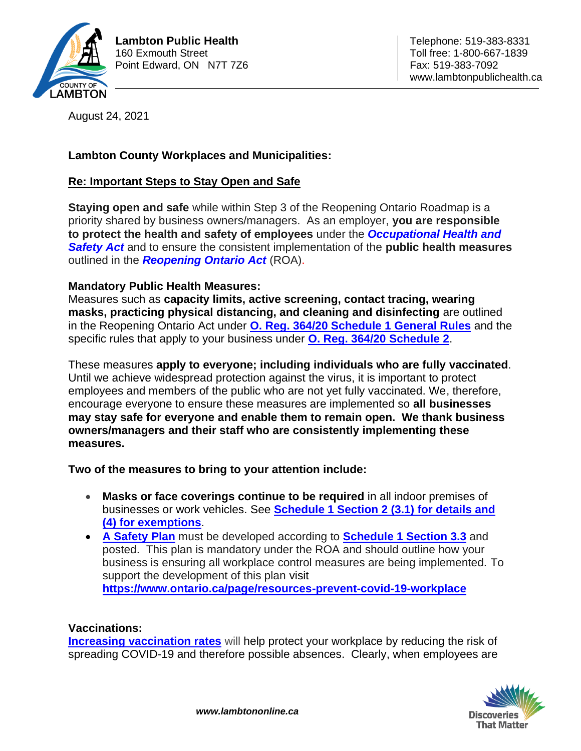

August 24, 2021

## **Lambton County Workplaces and Municipalities:**

## **Re: Important Steps to Stay Open and Safe**

**Staying open and safe** while within Step 3 of the Reopening Ontario Roadmap is a priority shared by business owners/managers. As an employer, **you are responsible to protect the health and safety of employees** under the *Occupational Health and Safety Act* and to ensure the consistent implementation of the **public health measures**  outlined in the *Reopening Ontario Act* (ROA).

## **Mandatory Public Health Measures:**

Measures such as **capacity limits, active screening, contact tracing, wearing masks, practicing physical distancing, and cleaning and disinfecting** are outlined in the Reopening Ontario Act under **O. Reg. 364/20 Schedule 1 General Rules** and the specific rules that apply to your business under **O. Reg. 364/20 Schedule 2**.

These measures **apply to everyone; including individuals who are fully vaccinated**. Until we achieve widespread protection against the virus, it is important to protect employees and members of the public who are not yet fully vaccinated. We, therefore, encourage everyone to ensure these measures are implemented so **all businesses may stay safe for everyone and enable them to remain open. We thank business owners/managers and their staff who are consistently implementing these measures.** 

**Two of the measures to bring to your attention include:** 

- **Masks or face coverings continue to be required** in all indoor premises of businesses or work vehicles. See **Schedule 1 Section 2 (3.1) for details and (4) for exemptions**.
- **A Safety Plan** must be developed according to **Schedule 1 Section 3.3** and posted. This plan is mandatory under the ROA and should outline how your business is ensuring all workplace control measures are being implemented. To support the development of this plan visit **https://www.ontario.ca/page/resources-prevent-covid-19-workplace**

## **Vaccinations:**

**Increasing vaccination rates** will help protect your workplace by reducing the risk of spreading COVID-19 and therefore possible absences. Clearly, when employees are